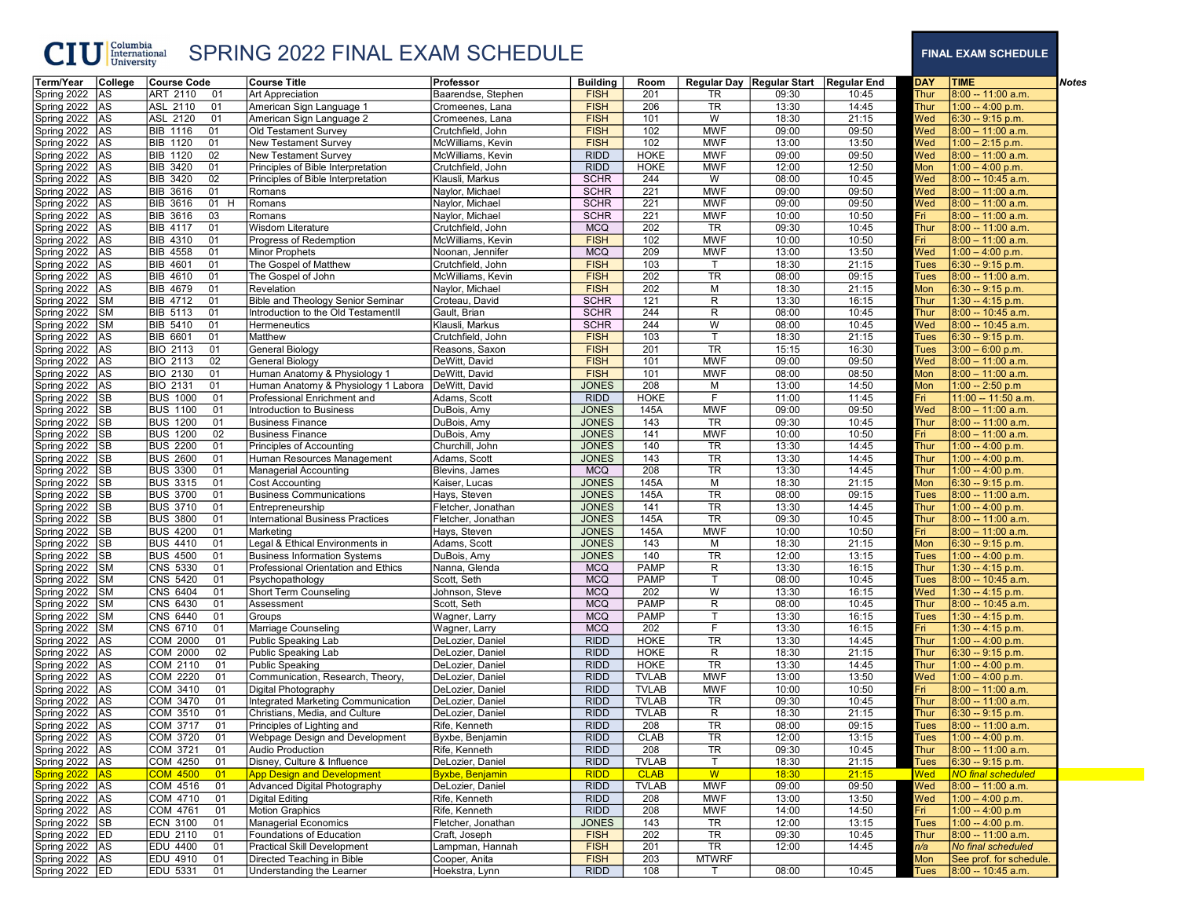## CIU <sup>Columbia</sup> SPRING 2022 FINAL EXAM SCHEDULE FINAL EXAM SCHEDULE

| Term/Year      | College   | Course Code                              | <b>Course Title</b>                                                                | Professor              | <b>Building</b> | Room         |                | Regular Day   Regular Start   Regular End |       | DAY         | <b>TIME</b>               | <b>Notes</b> |
|----------------|-----------|------------------------------------------|------------------------------------------------------------------------------------|------------------------|-----------------|--------------|----------------|-------------------------------------------|-------|-------------|---------------------------|--------------|
| Spring 2022    | AS        | ART 2110<br>01                           | Art Appreciation                                                                   | Baarendse, Stephen     | <b>FISH</b>     | 201          | TR             | 09:30                                     | 10:45 | Thur        | 8:00 -- 11:00 a.m.        |              |
| Spring 2022    | <b>AS</b> | ASL 2110<br>01                           | American Sign Language 1                                                           | Cromeenes, Lana        | <b>FISH</b>     | 206          | <b>TR</b>      | 13:30                                     | 14:45 | Thur        | 1:00 -- 4:00 p.m.         |              |
| Spring 2022    | AS.       | ASL 2120<br>01                           | American Sign Language 2                                                           | Cromeenes, Lana        | <b>FISH</b>     | 101          | W              | 18:30                                     | 21:15 | Wed         | $6:30 - 9:15$ p.m.        |              |
| Spring 2022    | AS        | BIB 1116<br>01                           | Old Testament Survey                                                               | Crutchfield, John      | <b>FISH</b>     | 102          | <b>MWF</b>     | 09:00                                     | 09:50 | Wed         | $8:00 - 11:00$ a.m.       |              |
| Spring 2022 AS |           | <b>BIB 1120</b><br>01                    | New Testament Survey                                                               | McWilliams, Kevin      | <b>FISH</b>     | 102          | <b>MWF</b>     | 13:00                                     | 13:50 | Wed         | $1:00 - 2:15$ p.m.        |              |
| Spring 2022 AS |           | <b>BIB 1120</b><br>02                    | <b>New Testament Survey</b>                                                        | McWilliams, Kevin      | <b>RIDD</b>     | <b>HOKE</b>  | <b>MWF</b>     | 09:00                                     | 09:50 | Wed         | $8:00 - 11:00$ a.m.       |              |
| Spring 2022    | AS        | <b>BIB 3420</b><br>01                    | Principles of Bible Interpretation                                                 | Crutchfield, John      | <b>RIDD</b>     | <b>HOKE</b>  | <b>MWF</b>     | 12:00                                     | 12:50 | Mon         | $1:00 - 4:00$ p.m.        |              |
| Spring 2022 AS |           | <b>BIB 3420</b><br>02                    | Principles of Bible Interpretation                                                 | Klausli, Markus        | <b>SCHR</b>     | 244          | W              | 08:00                                     | 10:45 | <b>Ned</b>  | 8:00 -- 10:45 a.m.        |              |
| Spring 2022    | AS        | <b>BIB 3616</b><br>01                    | Romans                                                                             | Naylor, Michael        | <b>SCHR</b>     | 221          | <b>MWF</b>     | 09:00                                     | 09:50 | Wed         | $8:00 - 11:00$ a.m.       |              |
| Spring 2022    | <b>AS</b> | <b>BIB 3616</b><br>01 H                  | Romans                                                                             | Naylor, Michael        | <b>SCHR</b>     | 221          | <b>MWF</b>     | 09:00                                     | 09:50 | Wed         | $8:00 - 11:00$ a.m.       |              |
| Spring 2022    | AS        | <b>BIB 3616</b><br>03                    | Romans                                                                             | Naylor, Michael        | <b>SCHR</b>     | 221          | <b>MWF</b>     | 10:00                                     | 10:50 | Fri I       | $8:00 - 11:00$ a.m.       |              |
| Spring 2022    | AS        | <b>BIB 4117</b><br>01                    | Wisdom Literature                                                                  | Crutchfield, John      | <b>MCQ</b>      | 202          | <b>TR</b>      | 09:30                                     | 10:45 | Thur        | 8:00 -- 11:00 a.m.        |              |
| Spring 2022    | <b>AS</b> | <b>BIB 4310</b><br>01                    | Progress of Redemption                                                             | McWilliams, Kevin      | <b>FISH</b>     | 102          | <b>MWF</b>     | 10:00                                     | 10:50 | Fri         | $8:00 - 11:00$ a.m.       |              |
| Spring 2022    | AS        | <b>BIB 4558</b><br>01                    | Minor Prophets                                                                     | Noonan, Jennifer       | <b>MCQ</b>      | 209          | <b>MWF</b>     | 13:00                                     | 13:50 | Wed         | $1:00 - 4:00$ p.m.        |              |
| Spring 2022 AS |           | BIB 4601<br>01                           | The Gospel of Matthew                                                              | Crutchfield, John      | <b>FISH</b>     | 103          |                | 18:30                                     | 21:15 | <b>Tues</b> | 6:30 -- 9:15 p.m.         |              |
| Spring 2022    | AS        | <b>BIB 4610</b><br>01                    | The Gospel of John                                                                 | McWilliams, Kevin      | <b>FISH</b>     | 202          | <b>TR</b>      | 08:00                                     | 09:15 | Tues        | 8:00 -- 11:00 a.m.        |              |
| Spring 2022    | AS        | <b>BIB 4679</b><br>01                    | Revelation                                                                         | Naylor, Michael        | <b>FISH</b>     | 202          | М              | 18:30                                     | 21:15 | Mon         | $6:30 - 9:15$ p.m.        |              |
| Spring 2022    | <b>SM</b> | <b>BIB 4712</b><br>01                    | <b>Bible and Theology Senior Seminar</b>                                           | Croteau, David         | <b>SCHR</b>     | 121          | R              | 13:30                                     | 16:15 | Thur        | 1:30 -- 4:15 p.m.         |              |
| Spring 2022    | SM        | <b>BIB 5113</b><br>01                    | Introduction to the Old TestamentII                                                | Gault, Brian           | <b>SCHR</b>     | 244          | R              | 08:00                                     | 10:45 | Thur        | 8:00 -- 10:45 a.m.        |              |
| Spring 2022    | <b>SM</b> | <b>BIB 5410</b><br>01                    | Hermeneutics                                                                       | Klausli, Markus        | <b>SCHR</b>     | 244          | W              | 08:00                                     | 10:45 | Wed         | 8:00 -- 10:45 a.m.        |              |
| Spring 2022    | AS        | <b>BIB 6601</b><br>01                    | Matthew                                                                            | Crutchfield, John      | <b>FISH</b>     | 103          | T.             | 18:30                                     | 21:15 | Tues        | $6:30 - 9:15$ p.m.        |              |
| Spring 2022 AS |           | <b>BIO 2113</b><br>01                    | General Biology                                                                    | Reasons, Saxon         | <b>FISH</b>     | 201          | <b>TR</b>      | 15:15                                     | 16:30 | Tues        | $3:00 - 6:00$ p.m.        |              |
| Spring 2022    | AS        | <b>BIO 2113</b><br>02                    | General Biology                                                                    | DeWitt, David          | <b>FISH</b>     | 101          | <b>MWF</b>     | 09:00                                     | 09:50 | Wed         | $8:00 - 11:00$ a.m.       |              |
|                |           | 01                                       |                                                                                    |                        | <b>FISH</b>     | 101          | <b>MWF</b>     |                                           | 08:50 | Mon         |                           |              |
| Spring 2022    | AS        | <b>BIO 2130</b>                          | Human Anatomy & Physiology 1                                                       | DeWitt, David          | <b>JONES</b>    |              |                | 08:00                                     |       |             | $8:00 - 11:00$ a.m.       |              |
| Spring 2022    | AS        | <b>BIO 2131</b><br>01                    | Human Anatomy & Physiology 1 Labora   DeWitt, David<br>Professional Enrichment and |                        | <b>RIDD</b>     | 208          | М<br>F.        | 13:00                                     | 14:50 | Mon         | 1:00 -- 2:50 p.m          |              |
| Spring 2022    | <b>SB</b> | <b>BUS 1000</b><br>01<br><b>BUS 1100</b> |                                                                                    | Adams, Scott           |                 | <b>HOKE</b>  |                | 11:00                                     | 11:45 | Fri I       | 11:00 -- 11:50 a.m.       |              |
| Spring 2022    | <b>SB</b> | 01                                       | Introduction to Business                                                           | DuBois, Amy            | <b>JONES</b>    | 145A         | <b>MWF</b>     | 09:00                                     | 09:50 | Wed         | $8:00 - 11:00$ a.m.       |              |
| Spring 2022    | SB        | <b>BUS 1200</b><br>01                    | <b>Business Finance</b>                                                            | DuBois, Amy            | <b>JONES</b>    | 143          | TR             | 09:30                                     | 10:45 | Thur        | 8:00 -- 11:00 a.m.        |              |
| Spring 2022    | <b>SB</b> | <b>BUS 1200</b><br>02                    | <b>Business Finance</b>                                                            | DuBois, Amy            | <b>JONES</b>    | 141          | <b>MWF</b>     | 10:00                                     | 10:50 | Fri         | $8:00 - 11:00$ a.m.       |              |
| Spring 2022    | <b>SB</b> | <b>BUS 2200</b><br>01                    | Principles of Accounting                                                           | Churchill, John        | <b>JONES</b>    | 140          | TR             | 13:30                                     | 14:45 | Thur        | 1:00 -- 4:00 p.m.         |              |
| Spring 2022    | SB        | <b>BUS 2600</b><br>01                    | Human Resources Management                                                         | Adams, Scott           | <b>JONES</b>    | 143          | TR             | 13:30                                     | 14:45 | Thur        | 1:00 -- 4:00 p.m.         |              |
| Spring 2022    | SB        | <b>BUS 3300</b><br>01                    | <b>Managerial Accounting</b>                                                       | Blevins, James         | <b>MCQ</b>      | 208          | TR             | 13:30                                     | 14:45 | Thur        | 1:00 -- 4:00 p.m.         |              |
| Spring 2022 SB |           | <b>BUS 3315</b><br>01                    | Cost Accounting                                                                    | Kaiser, Lucas          | <b>JONES</b>    | 145A         | М              | 18:30                                     | 21:15 | Mon         | $6:30 - 9:15$ p.m.        |              |
| Spring 2022    | SB        | <b>BUS 3700</b><br>01                    | <b>Business Communications</b>                                                     | Hays, Steven           | <b>JONES</b>    | 145A         | <b>TR</b>      | 08:00                                     | 09:15 | <b>Tues</b> | 8:00 -- 11:00 a.m.        |              |
| Spring 2022    | <b>SB</b> | <b>BUS 3710</b><br>01                    | Entrepreneurship                                                                   | Fletcher, Jonathan     | <b>JONES</b>    | 141          | <b>TR</b>      | 13:30                                     | 14:45 | <b>Thur</b> | 1:00 -- 4:00 p.m.         |              |
| Spring 2022    | <b>SB</b> | <b>BUS 3800</b><br>01                    | <b>International Business Practices</b>                                            | Fletcher, Jonathan     | <b>JONES</b>    | 145A         | <b>TR</b>      | 09:30                                     | 10:45 | Thur        | 8:00 -- 11:00 a.m.        |              |
| Spring 2022    | SB        | <b>BUS 4200</b><br>01                    | Marketing                                                                          | Hays, Steven           | <b>JONES</b>    | 145A         | <b>MWF</b>     | 10:00                                     | 10:50 | Fri I       | $8:00 - 11:00$ a.m.       |              |
| Spring 2022    | <b>SB</b> | <b>BUS 4410</b><br>01                    | Legal & Ethical Environments in                                                    | Adams, Scott           | <b>JONES</b>    | 143          | М              | 18:30                                     | 21:15 | Mon         | $6:30 - 9:15$ p.m.        |              |
| Spring 2022    | SB        | <b>BUS 4500</b><br>01                    | <b>Business Information Systems</b>                                                | DuBois, Amy            | <b>JONES</b>    | 140          | <b>TR</b>      | 12:00                                     | 13:15 | Tues        | 1:00 -- 4:00 p.m.         |              |
| Spring 2022    | <b>SM</b> | CNS 5330<br>01                           | Professional Orientation and Ethics                                                | Nanna, Glenda          | <b>MCQ</b>      | <b>PAMP</b>  | R              | 13:30                                     | 16:15 | Thur        | $1:30 - 4:15$ p.m.        |              |
| Spring 2022    | <b>SM</b> | CNS 5420<br>01                           | Psychopathology                                                                    | Scott, Seth            | <b>MCQ</b>      | <b>PAMP</b>  | Т              | 08:00                                     | 10:45 | Tues        | 8:00 -- 10:45 a.m.        |              |
| Spring 2022    | SM        | CNS 6404<br>01                           | Short Term Counseling                                                              | Johnson, Steve         | <b>MCQ</b>      | 202          | $\overline{W}$ | 13:30                                     | 16:15 | Wed         | $1:30 - 4:15$ p.m.        |              |
| Spring 2022    | <b>SM</b> | CNS 6430<br>01                           | Assessment                                                                         | Scott, Seth            | <b>MCQ</b>      | <b>PAMP</b>  | R              | 08:00                                     | 10:45 | Thur        | 8:00 -- 10:45 a.m.        |              |
| Spring 2022    | SM        | CNS 6440<br>01                           | Groups                                                                             | Wagner, Larry          | <b>MCQ</b>      | <b>PAMP</b>  | т              | 13:30                                     | 16:15 | Tues        | $1:30 - 4:15$ p.m.        |              |
| Spring 2022    | <b>SM</b> | CNS 6710<br>01                           | Marriage Counseling                                                                | Wagner, Larry          | <b>MCQ</b>      | 202          | F              | 13:30                                     | 16:15 | Fri         | 1:30 -- 4:15 p.m.         |              |
| Spring 2022    | AS        | COM 2000<br>01                           | Public Speaking Lab                                                                | DeLozier, Daniel       | <b>RIDD</b>     | HOKE         | TR             | 13:30                                     | 14:45 | Thur        | 1:00 -- 4:00 p.m.         |              |
| Spring 2022 AS |           | COM 2000<br>02                           | Public Speaking Lab                                                                | DeLozier, Daniel       | <b>RIDD</b>     | <b>HOKE</b>  | R              | 18:30                                     | 21:15 | Thur        | $6:30 - 9:15$ p.m.        |              |
| Spring 2022    | AS        | COM 2110<br>01                           | Public Speaking                                                                    | DeLozier, Daniel       | <b>RIDD</b>     | <b>HOKE</b>  | TR             | 13:30                                     | 14:45 | Thur        | 1:00 -- 4:00 p.m.         |              |
| Spring 2022    | AS        | COM 2220<br>01                           | Communication, Research, Theory,                                                   | DeLozier, Daniel       | <b>RIDD</b>     | <b>TVLAB</b> | <b>MWF</b>     | 13:00                                     | 13:50 | Wed         | $1:00 - 4:00$ p.m.        |              |
| Spring 2022    | AS.       | COM 3410<br>01                           | Digital Photography                                                                | DeLozier, Daniel       | <b>RIDD</b>     | <b>TVLAB</b> | <b>MWF</b>     | 10:00                                     | 10:50 | Fri I       | $8:00 - 11:00$ a.m.       |              |
| Spring 2022    | <b>AS</b> | COM 3470<br>01                           | Integrated Marketing Communication                                                 | DeLozier, Daniel       | <b>RIDD</b>     | <b>TVLAB</b> | TR             | 09:30                                     | 10:45 | Thur        | 8:00 -- 11:00 a.m.        |              |
| Spring 2022    | AS        | COM 3510<br>01                           | Christians, Media, and Culture                                                     | DeLozier, Daniel       | <b>RIDD</b>     | <b>TVLAB</b> | R              | 18:30                                     | 21:15 | Thur        | $6:30 - 9:15$ p.m.        |              |
| Spring 2022    | AS        | COM 3717<br>01                           | Principles of Lighting and                                                         | Rife, Kenneth          | <b>RIDD</b>     | 208          | <b>TR</b>      | 08:00                                     | 09:15 | Tues        | 8:00 -- 11:00 a.m.        |              |
| Spring 2022 AS |           | ICOM 3720<br>01                          | Webpage Design and Development                                                     | Byxbe, Benjamin        | <b>RIDD</b>     | <b>CLAB</b>  | TR             | 12:00                                     | 13:15 | Tues        | 1:00 -- 4:00 p.m.         |              |
| Spring 2022 AS |           | COM 3721<br>01                           | Audio Production                                                                   | Rife, Kenneth          | <b>RIDD</b>     | 208          | TR             | 09:30                                     | 10:45 | Thur        | 8:00 -- 11:00 a.m.        |              |
| Spring 2022 AS |           | COM 4250<br>01                           | Disney, Culture & Influence                                                        | DeLozier, Daniel       | <b>RIDD</b>     | <b>TVLAB</b> | T.             | 18:30                                     | 21:15 | Tues        | $6:30 - 9:15$ p.m.        |              |
| Spring 2022 AS |           | <b>COM 4500</b><br>01                    | <b>App Design and Development</b>                                                  | <b>Byxbe, Benjamin</b> | <b>RIDD</b>     | <b>CLAB</b>  | W              | 18:30                                     | 21:15 | Wed         | <b>NO</b> final scheduled |              |
| Spring 2022 AS |           | COM 4516<br>01                           | Advanced Digital Photography                                                       | DeLozier, Daniel       | <b>RIDD</b>     | <b>TVLAB</b> | <b>MWF</b>     | 09:00                                     | 09:50 | Wed         | $8:00 - 11:00$ a.m.       |              |
| Spring 2022 AS |           | COM 4710<br>01                           | Digital Editing                                                                    | Rife, Kenneth          | <b>RIDD</b>     | 208          | <b>MWF</b>     | 13:00                                     | 13:50 | Wed         | $1:00 - 4:00$ p.m.        |              |
| Spring 2022 AS |           | COM 4761<br>01                           | <b>Motion Graphics</b>                                                             | Rife, Kenneth          | <b>RIDD</b>     | 208          | <b>MWF</b>     |                                           | 14:50 | Fri         | 1:00 -- 4:00 p.m          |              |
| Spring 2022 SB |           | <b>ECN 3100</b><br>01                    | Managerial Economics                                                               | Fletcher, Jonathan     | <b>JONES</b>    |              | TR             | 14:00<br>12:00                            | 13:15 | <b>Tues</b> | $1:00 - 4:00 p.m.$        |              |
| Spring 2022 ED |           | <b>EDU 2110</b>                          |                                                                                    |                        |                 | 143          |                |                                           |       |             |                           |              |
|                |           | 01                                       | Foundations of Education<br><b>Practical Skill Development</b>                     | Craft, Joseph          | <b>FISH</b>     | 202          | TR             | 09:30                                     | 10:45 | Thur        | 8:00 -- 11:00 a.m.        |              |
| Spring 2022 AS |           | <b>EDU 4400</b><br>01                    |                                                                                    | Lampman, Hannah        | <b>FISH</b>     | 201          | TR             | 12:00                                     | 14:45 | n/a         | No final scheduled        |              |
| Spring 2022 AS |           | <b>EDU 4910</b><br>01                    | Directed Teaching in Bible                                                         | Cooper, Anita          | <b>FISH</b>     | 203          | <b>MTWRF</b>   |                                           |       | Mon         | See prof. for schedule.   |              |
| Spring 2022 ED |           | EDU 5331<br>01                           | Understanding the Learner                                                          | Hoekstra, Lynn         | <b>RIDD</b>     | 108          |                | 08:00                                     | 10:45 | <b>Tues</b> | $8:00 - 10:45$ a.m.       |              |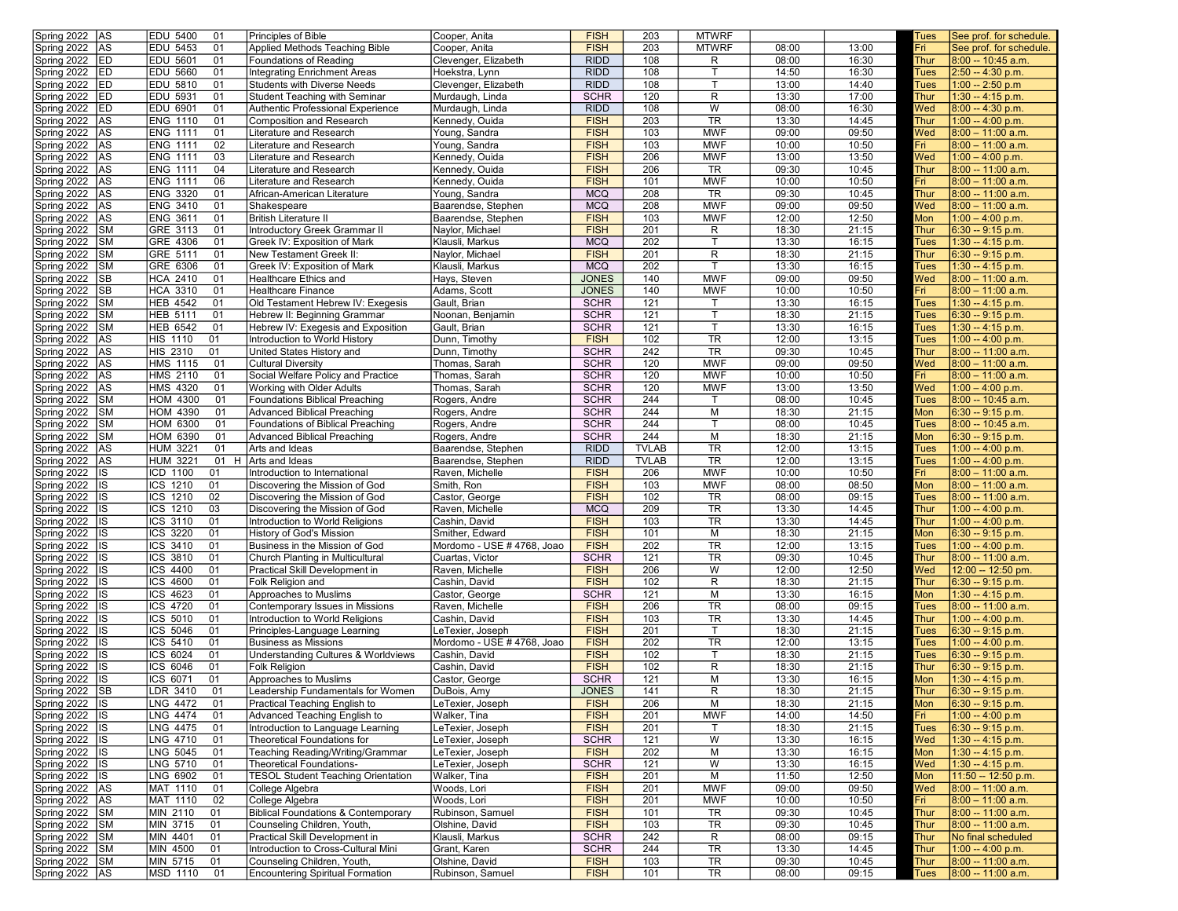| Spring 2022<br><b>JAS</b>                  | EDU 5400<br>01                   | Principles of Bible                                             | Cooper, Anita                      | <b>FISH</b>                | 203          | <b>MTWRF</b>                 |                |                | Tues         | See prof. for schedule.                   |
|--------------------------------------------|----------------------------------|-----------------------------------------------------------------|------------------------------------|----------------------------|--------------|------------------------------|----------------|----------------|--------------|-------------------------------------------|
| Spring 2022<br><b>JAS</b>                  | EDU 5453<br>01                   | Applied Methods Teaching Bible                                  | Cooper, Anita                      | <b>FISH</b>                | 203          | <b>MTWRF</b>                 | 08:00          | 13:00          | Fri          | See prof. for schedule.                   |
| Spring 2022<br><b>IED</b>                  | <b>EDU 5601</b><br>01            | Foundations of Reading                                          | Clevenger, Elizabeth               | <b>RIDD</b>                | 108          | R                            | 08:00          | 16:30          | Thur         | 8:00 -- 10:45 a.m.                        |
| Spring 2022<br><b>IED</b>                  | <b>EDU 5660</b><br>01            | Integrating Enrichment Areas                                    | Hoekstra, Lynn                     | <b>RIDD</b>                | 108          | T                            | 14:50          | 16:30          | Tues         | 2:50 -- 4:30 p.m.                         |
| Spring 2022<br><b>IED</b>                  | EDU 5810<br>01                   | <b>Students with Diverse Needs</b>                              | Clevenger, Elizabeth               | <b>RIDD</b>                | 108          | т                            | 13:00          | 14:40          | Tues         | $1:00 - 2:50 p.m$                         |
| Spring 2022<br><b>IED</b>                  | <b>EDU 5931</b><br>01            |                                                                 |                                    | <b>SCHR</b>                | 120          | R                            | 13:30          | 17:00          | <b>Thur</b>  |                                           |
|                                            | <b>EDU 6901</b>                  | Student Teaching with Seminar                                   | Murdaugh, Linda                    |                            |              |                              |                |                |              | 1:30 -- 4:15 p.m.                         |
| Spring 2022<br><b>ED</b>                   | 01                               | Authentic Professional Experience                               | Murdaugh, Linda                    | <b>RIDD</b>                | 108          | W                            | 08:00          | 16:30          | Wed          | 8:00 -- 4:30 p.m.                         |
| Spring 2022<br>lAS                         | <b>ENG 1110</b><br>01            | <b>Composition and Research</b>                                 | Kennedy, Ouida                     | <b>FISH</b>                | 203          | $\overline{\text{TR}}$       | 13:30          | 14:45          | Thur         | 1:00 -- 4:00 p.m.                         |
| Spring 2022<br>AS]                         | <b>ENG 1111</b><br>01            | Literature and Research                                         | Young, Sandra                      | <b>FISH</b>                | 103          | <b>MWF</b>                   | 09:00          | 09:50          | Wed          | $8:00 - 11:00$ a.m.                       |
| Spring 2022<br>lAS                         | <b>ENG 1111</b><br>02            | Literature and Research                                         | Young, Sandra                      | <b>FISH</b>                | 103          | <b>MWF</b>                   | 10:00          | 10:50          | Fri I        | $8:00 - 11:00$ a.m.                       |
| Spring 2022<br> AS                         | <b>ENG 1111</b><br>03            | Literature and Research                                         | Kennedy, Ouida                     | <b>FISH</b>                | 206          | <b>MWF</b>                   | 13:00          | 13:50          | Wed          | $1:00 - 4:00$ p.m.                        |
| Spring 2022<br><b>AS</b>                   | <b>ENG 1111</b><br>04            | Literature and Research                                         | Kennedy, Ouida                     | <b>FISH</b>                | 206          | <b>TR</b>                    | 09:30          | 10:45          | Thur         | 8:00 -- 11:00 a.m.                        |
| Spring 2022<br><b>JAS</b>                  | <b>ENG 1111</b><br>06            | Literature and Research                                         | Kennedy, Ouida                     | <b>FISH</b>                | 101          | <b>MWF</b>                   | 10:00          | 10:50          | Fri          | $8:00 - 11:00$ a.m.                       |
| Spring 2022<br>AS]                         | <b>ENG 3320</b><br>01            | African-American Literature                                     | Young, Sandra                      | <b>MCQ</b>                 | 208          | <b>TR</b>                    | 09:30          | 10:45          | Thur         | 8:00 -- 11:00 a.m.                        |
| Spring 2022<br>AS]                         | <b>ENG 3410</b><br>01            | Shakespeare                                                     | Baarendse, Stephen                 | <b>MCQ</b>                 | 208          | <b>MWF</b>                   | 09:00          | 09:50          | Wed          | $8:00 - 11:00$ a.m.                       |
| Spring 2022<br>AS]                         | <b>ENG 3611</b><br>01            | British Literature II                                           | Baarendse, Stephen                 | <b>FISH</b>                | 103          | <b>MWF</b>                   | 12:00          | 12:50          | Mon          | $1:00 - 4:00$ p.m.                        |
|                                            |                                  |                                                                 |                                    |                            |              |                              |                |                |              |                                           |
| Spring 2022<br><b>SM</b>                   | GRE 3113<br>01                   | Introductory Greek Grammar II                                   | Naylor, Michael                    | <b>FISH</b>                | 201          | R                            | 18:30          | 21:15          | <b>Thur</b>  | $6:30 - 9:15$ p.m.                        |
| Spring 2022<br> SM                         | GRE 4306<br>01                   | Greek IV: Exposition of Mark                                    | Klausli, Markus                    | <b>MCQ</b>                 | 202          | T                            | 13:30          | 16:15          | <b>Tues</b>  | 1:30 -- 4:15 p.m.                         |
| Spring 2022<br> SM                         | GRE 5111<br>01                   | New Testament Greek II:                                         | Naylor, Michael                    | <b>FISH</b>                | 201          | R                            | 18:30          | 21:15          | Thur         | 6:30 -- 9:15 p.m.                         |
| Spring 2022<br><b>SM</b>                   | GRE 6306<br>01                   | Greek IV: Exposition of Mark                                    | Klausli, Markus                    | <b>MCQ</b>                 | 202          |                              | 13:30          | 16:15          | Tues         | 1:30 -- 4:15 p.m.                         |
| Spring 2022<br> SB                         | <b>HCA 2410</b><br>01            | <b>Healthcare Ethics and</b>                                    | Hays, Steven                       | <b>JONES</b>               | 140          | <b>MWF</b>                   | 09:00          | 09:50          | Wed          | $8:00 - 11:00$ a.m.                       |
| Spring 2022<br> SB                         | <b>HCA 3310</b><br>01            | Healthcare Finance                                              | Adams, Scott                       | <b>JONES</b>               | 140          | <b>MWF</b>                   | 10:00          | 10:50          | Fri          | $8:00 - 11:00$ a.m.                       |
| Spring 2022<br><b>SM</b>                   | <b>HEB 4542</b><br>01            | Old Testament Hebrew IV: Exegesis                               | Gault, Brian                       | <b>SCHR</b>                | 121          | т                            | 13:30          | 16:15          | Tues         | $1:30 - 4:15$ p.m.                        |
| Spring 2022<br> SM                         | <b>HEB 5111</b><br>01            | Hebrew II: Beginning Grammar                                    | Noonan, Benjamin                   | <b>SCHR</b>                | 121          |                              | 18:30          | 21:15          | Tues         | 6:30 -- 9:15 p.m.                         |
| Spring 2022<br> SM                         | <b>HEB 6542</b><br>01            | Hebrew IV: Exegesis and Exposition                              | Gault, Brian                       | <b>SCHR</b>                | 121          | T                            | 13:30          | 16:15          | Tues         | 1:30 -- 4:15 p.m.                         |
| Spring 2022                                |                                  |                                                                 |                                    | <b>FISH</b>                | 102          | TR                           | 12:00          | 13:15          |              | 1:00 -- 4:00 p.m.                         |
| lAS                                        | <b>HIS 1110</b><br>01            | Introduction to World History                                   | Dunn, Timothy                      |                            |              |                              |                |                | <b>Tues</b>  |                                           |
| Spring 2022<br><b>JAS</b>                  | <b>HIS 2310</b><br>01            | United States History and                                       | Dunn, Timothy                      | <b>SCHR</b>                | 242          | <b>TR</b>                    | 09:30          | 10:45          | Thur         | 8:00 -- 11:00 a.m.                        |
| Spring 2022<br><b>AS</b>                   | <b>HMS 1115</b><br>01            | <b>Cultural Diversity</b>                                       | Thomas, Sarah                      | <b>SCHR</b>                | 120          | <b>MWF</b>                   | 09:00          | 09:50          | Wed          | $8:00 - 11:00$ a.m.                       |
| Spring 2022<br> AS                         | <b>HMS 2110</b><br>01            | Social Welfare Policy and Practice                              | Thomas, Sarah                      | <b>SCHR</b>                | 120          | <b>MWF</b>                   | 10:00          | 10:50          | Fri          | $8:00 - 11:00$ a.m.                       |
| Spring 2022<br>AS]                         | <b>HMS 4320</b><br>01            | Working with Older Adults                                       | Thomas, Sarah                      | <b>SCHR</b>                | 120          | <b>MWF</b>                   | 13:00          | 13:50          | Wed          | $1:00 - 4:00$ p.m.                        |
| Spring 2022<br><b>SM</b>                   | HOM 4300<br>01                   | Foundations Biblical Preaching                                  | Rogers, Andre                      | <b>SCHR</b>                | 244          |                              | 08:00          | 10:45          | <b>Tues</b>  | 8:00 -- 10:45 a.m.                        |
| Spring 2022<br><b>SM</b>                   | HOM 4390<br>01                   | <b>Advanced Biblical Preaching</b>                              | Rogers, Andre                      | <b>SCHR</b>                | 244          | M                            | 18:30          | 21:15          | Mon          | $6:30 - 9:15$ p.m.                        |
| Spring 2022<br><b>SM</b>                   | <b>HOM 6300</b><br>01            | Foundations of Biblical Preaching                               | Rogers, Andre                      | <b>SCHR</b>                | 244          | T                            | 08:00          | 10:45          | Tues         | 8:00 -- 10:45 a.m.                        |
| Spring 2022<br><b>SM</b>                   | HOM 6390<br>01                   | <b>Advanced Biblical Preaching</b>                              | Rogers, Andre                      | <b>SCHR</b>                | 244          | M                            | 18:30          | 21:15          | Mon          | $6:30 - 9:15$ p.m.                        |
| Spring 2022<br>lAS                         | <b>HUM 3221</b><br>01            | Arts and Ideas                                                  | Baarendse, Stephen                 | <b>RIDD</b>                | <b>TVLAB</b> | <b>TR</b>                    | 12:00          | 13:15          | Tues         | 1:00 -- 4:00 p.m.                         |
|                                            |                                  |                                                                 |                                    |                            |              |                              |                |                |              |                                           |
|                                            |                                  |                                                                 |                                    |                            |              |                              |                |                |              |                                           |
| Spring 2022<br> AS                         | <b>HUM 3221</b><br>01 H          | Arts and Ideas                                                  | Baarendse, Stephen                 | <b>RIDD</b>                | <b>TVLAB</b> | <b>TR</b>                    | 12:00          | 13:15          | Tues         | 1:00 -- 4:00 p.m.                         |
| Spring 2022<br>lis                         | ICD 1100<br>01                   | Introduction to International                                   | Raven, Michelle                    | <b>FISH</b>                | 206          | <b>MWF</b>                   | 10:00          | 10:50          | Fri.         | $8:00 - 11:00$ a.m.                       |
| Spring 2022<br>lis                         | ICS 1210<br>01                   | Discovering the Mission of God                                  | Smith, Ron                         | <b>FISH</b>                | 103          | <b>MWF</b>                   | 08:00          | 08:50          | Mon          | $8:00 - 11:00$ a.m.                       |
| Spring 2022<br>lis                         | ICS $12\overline{10}$<br>02      | Discovering the Mission of God                                  | Castor, George                     | <b>FISH</b>                | 102          | <b>TR</b>                    | 08:00          | 09:15          | <b>Tues</b>  | 8:00 -- 11:00 a.m.                        |
| Spring 2022<br> IS                         | ICS 1210<br>03                   | Discovering the Mission of God                                  | Raven, Michelle                    | <b>MCQ</b>                 | 209          | <b>TR</b>                    | 13:30          | 14:45          | Thur         | 1:00 -- 4:00 p.m.                         |
| llS                                        | 01                               |                                                                 | Cashin, David                      | <b>FISH</b>                | 103          | <b>TR</b>                    |                |                | Thur         |                                           |
| Spring 2022                                | ICS 3110                         | Introduction to World Religions                                 |                                    |                            |              |                              | 13:30          | 14:45          |              | 1:00 -- 4:00 p.m.                         |
| Spring 2022<br>llS                         | ICS 3220<br>01                   | History of God's Mission                                        | Smither, Edward                    | <b>FISH</b>                | 101          | M                            | 18:30          | 21:15          | Mon          | 6:30 -- 9:15 p.m.                         |
| Spring 2022<br>IS                          | ICS 3410<br>01                   | Business in the Mission of God                                  | Mordomo - USE # 4768, Joao         | <b>FISH</b>                | 202          | <b>TR</b>                    | 12:00          | 13:15          | Tues         | 1:00 -- 4:00 p.m.                         |
| Spring 2022<br>lis                         | ICS 3810<br>01                   | Church Planting in Multicultural                                | Cuartas, Victor                    | <b>SCHR</b>                | 121          | $\overline{\text{TR}}$       | 09:30          | 10:45          | Thur         | 8:00 -- 11:00 a.m.                        |
| Spring 2022<br> IS                         | ICS 4400<br>01                   | Practical Skill Development in                                  | Raven, Michelle                    | <b>FISH</b>                | 206          | W                            | 12:00          | 12:50          | Wed          | 12:00 -- 12:50 pm.                        |
| Spring 2022<br> IS                         | ICS $\overline{4600}$<br>01      | Folk Religion and                                               | Cashin, David                      | <b>FISH</b>                | 102          | R                            | 18:30          | 21:15          | Thur         | $6:30 - 9:15$ p.m.                        |
| Spring 2022<br>llS                         | ICS 4623<br>01                   | Approaches to Muslims                                           | Castor, George                     | <b>SCHR</b>                | 121          | M                            | 13:30          | 16:15          | Mon          | 1:30 -- 4:15 p.m.                         |
| IS<br>Spring 2022                          | ICS 4720<br>01                   | Contemporary Issues in Missions                                 | Raven, Michelle                    | <b>FISH</b>                | 206          | <b>TR</b>                    | 08:00          | 09:15          | Tues         | 8:00 -- 11:00 a.m.                        |
| Spring 2022<br>llS                         | ICS 5010<br>01                   | Introduction to World Religions                                 | Cashin, David                      | <b>FISH</b>                | 103          | <b>TR</b>                    | 13:30          | 14:45          | Thur         | 1:00 -- 4:00 p.m.                         |
| Spring 2022<br>lis                         | ICS 5046<br>01                   | Principles-Language Learning                                    | LeTexier, Joseph                   | <b>FISH</b>                | 201          | T                            | 18:30          | 21:15          | Tues         | 6:30 -- 9:15 p.m.                         |
| Spring 2022<br>llS                         | ICS 5410<br>01                   | Business as Missions                                            | Mordomo - USE # 4768, Joao         | <b>FISH</b>                | 202          | <b>TR</b>                    | 12:00          | 13:15          | Tues         | 1:00 -- 4:00 p.m.                         |
| Spring 2022<br>llS                         | ICS 6024<br>01                   | Understanding Cultures & Worldviews                             | Cashin, David                      | <b>FISH</b>                | 102          |                              | 18:30          | 21:15          | Tues         | 6:30 -- 9:15 p.m.                         |
|                                            | 01                               |                                                                 | Cashin, David                      |                            | 102          |                              |                |                | Thur         |                                           |
| Spring 2022<br> IS                         | ICS 6046                         | <b>Folk Religion</b>                                            |                                    | <b>FISH</b>                |              | R                            | 18:30          | 21:15          |              | 6:30 -- 9:15 p.m.                         |
| Spring 2022<br>llS                         | ICS 6071<br>01                   | Approaches to Muslims                                           | Castor, George                     | <b>SCHR</b>                | 121          | M                            | 13:30          | 16:15          | Mon          | $1:30 - 4:15$ p.m.                        |
| Spring 2022<br> SB                         | LDR 3410<br>01                   | Leadership Fundamentals for Women                               | DuBois, Amy                        | <b>JONES</b>               | 141          | R                            | 18:30          | 21:15          | Thur         | $6:30 - 9:15 p.m.$                        |
| Spring 2022  IS                            | LNG 4472<br>01                   | Practical Teaching English to                                   | LeTexier, Joseph                   | <b>FISH</b>                | 206          | M                            | 18:30          | 21:15          | Mon          | $6:30 - 9:15 p.m.$                        |
| Spring 2022   IS                           | LNG 4474<br>01                   | Advanced Teaching English to                                    | Walker, Tina                       | <b>FISH</b>                | 201          | <b>MWF</b>                   | 14:00          | 14:50          | Fri          | 1:00 -- 4:00 p.m                          |
| Spring 2022  IS                            | LNG 4475<br>01                   | Introduction to Language Learning                               | LeTexier, Joseph                   | <b>FISH</b>                | 201          | $\mathsf{T}$                 | 18:30          | 21:15          | <b>Tues</b>  | $6:30 - 9:15$ p.m.                        |
| Spring 2022   IS                           | LNG 4710<br>01                   | Theoretical Foundations for                                     | LeTexier, Joseph                   | <b>SCHR</b>                | 121          | W                            | 13:30          | 16:15          | Wed          | 1:30 -- 4:15 p.m.                         |
| Spring 2022   IS                           | LNG 5045<br>01                   | Teaching Reading/Writing/Grammar                                | LeTexier, Joseph                   | <b>FISH</b>                | 202          | M                            | 13:30          | 16:15          | Mon          | 1:30 -- 4:15 p.m.                         |
| Spring 2022  IS                            | LNG 5710<br>01                   | Theoretical Foundations-                                        | LeTexier, Joseph                   | <b>SCHR</b>                | 121          | W                            | 13:30          | 16:15          | Wed          | $1:30 - 4:15$ p.m.                        |
| Spring 2022   IS                           | LNG 6902<br>01                   | <b>TESOL Student Teaching Orientation</b>                       | Walker, Tina                       | <b>FISH</b>                | 201          | M                            | 11:50          | 12:50          | Mon          | 11:50 -- 12:50 p.m.                       |
|                                            |                                  |                                                                 |                                    |                            |              |                              |                |                |              |                                           |
| Spring 2022 AS                             | MAT 1110<br>01                   | College Algebra                                                 | Woods, Lori                        | <b>FISH</b>                | 201          | <b>MWF</b>                   | 09:00          | 09:50          | Wed          | $8:00 - 11:00$ a.m.                       |
| Spring 2022 AS                             | MAT 1110<br>02                   | College Algebra                                                 | Woods, Lori                        | <b>FISH</b>                | 201          | <b>MWF</b>                   | 10:00          | 10:50          | Fri I        | $8:00 - 11:00$ a.m.                       |
| Spring 2022 SM                             | MIN 2110<br>01                   | Biblical Foundations & Contemporary                             | Rubinson, Samuel                   | <b>FISH</b>                | 101          | TR                           | 09:30          | 10:45          | Thur         | 8:00 -- 11:00 a.m.                        |
| Spring 2022<br><b>SM</b>                   | MIN 3715<br>01                   | Counseling Children, Youth,                                     | Olshine, David                     | <b>FISH</b>                | 103          | <b>TR</b>                    | 09:30          | 10:45          | Thur         | 8:00 -- 11:00 a.m.                        |
| Spring 2022 SM                             | MIN 4401<br>01                   | Practical Skill Development in                                  | Klausli, Markus                    | <b>SCHR</b>                | 242          | R                            | 08:00          | 09:15          | Thur         | No final scheduled                        |
| Spring 2022<br><b>SM</b>                   | MIN 4500<br>01                   | Introduction to Cross-Cultural Mini                             | Grant, Karen                       | <b>SCHR</b>                | 244          | <b>TR</b>                    | 13:30          | 14:45          | Thur         | 1:00 -- 4:00 p.m.                         |
| Spring 2022<br><b>SM</b><br>Spring 2022 AS | MIN 5715<br>01<br>MSD 1110<br>01 | Counseling Children, Youth,<br>Encountering Spiritual Formation | Olshine, David<br>Rubinson, Samuel | <b>FISH</b><br><b>FISH</b> | 103<br>101   | $\overline{\text{TR}}$<br>TR | 09:30<br>08:00 | 10:45<br>09:15 | Thur<br>Tues | 8:00 -- 11:00 a.m.<br>$8:00 - 11:00$ a.m. |